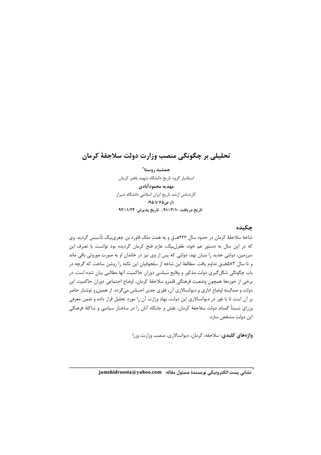# تحليلي بر چگونگي منصب وزارت دولت سلاجقهٔ كرمان

جمشيد روستا ٌ استاديار گروه تاريخ دانشگاه شهيد باهنر كرمان مهديه محمودآبادي كارشناس ارشد تاريخ ايران اسلامي دانشگاه شيراز (از ص۷۵ تا ۹۵) تاريخ دريافت: ٩١/٠٣/١٠ ، تاريخ پذيرش: ٩٢/٠١/٢٣

## چکیده

شاخهٔ سلاجقهٔ کرمان در حدود سال ۴۳۳هــق و به همت ملک قاورد بن چغریبیگ تأسیس گردید. وی كه در اين سال به دستور عم خود، طغرل بيگ، عازم فتح كرمان گرديده بود توانست با تصرف اين سرزمین، دولتی جدید را بنیان نهد، دولتی که پس از وی نیز در خاندان او به صورت موروثی باقی ماند و تا سال ۵۸۳هـ ق تداوم یافت. مطالعهٔ این شاخه از سلجوقیان این نکته را روشن ساخت که گرچه در باب چگونگی شکل گیری دولت مذکور و وقایع سیاسی دوران حاکمیت آنها مطالبی بیان شده است، در برخي از حوزەها همچون وضعيت فرهنگي قلمرو سلاجقهٔ كرمان، اوضاع اجتماعي دوران حاكميت اين دولت و صدالبته اوضاع اداری و دیوانسالاری آن، فقری جدی احساس میگردد. از همینرو نوشتار حاضر بر آن است تا با غور در دیوانسالاری این دولت، نهاد وزارت آن را مورد تحلیل قرار داده و ضمن معرفی وزرای نسبتاً گمنام دولت سلاجقهٔ کرمان، نقش و جایگاه آنان را در ساختار سیاسی و شاکلهٔ فرهنگی این دولت مشخص سازد.

واژههای کلیدی: سلاجقه، کرمان، دیوانسالاری، منصب وزارت، وزرا

ِّ نشاني پست الكترونيكي نويسندهٔ مسئول مقاله: \_jamshidroosta@yahoo.com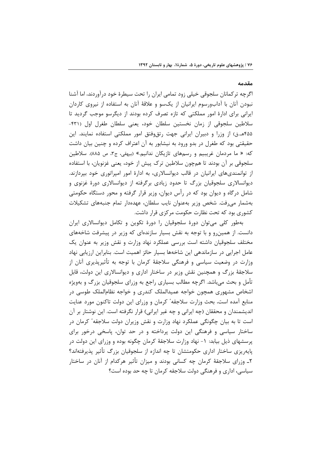#### مقدمه

اگرچه ترکمانان سلجوقی خیلی زود تمامی ایران را تحت سیطرهٔ خود درآوردند، اما آشنا نبودن آنان با آدابورسوم ایرانیان از یکسو و علاقهٔ آنان به استفاده از نیروی کاردان ایرانی برای ادارهٔ امور مملکتی که تازه تصرف کرده بودند از دیگرسو موجب گردید تا سلاطین سلجوقی از زمان نخستین سلطان خود، یعنی سلطان طغرل اول (۴۳۱-۴۵۵هـ.ق) از وزرا و دبیران ایرانی جهت رتق وفتق امور مملکتی استفاده نمایند. این حقیقتی بود که طغرل در بدو ورود به نیشابور به آن اعتراف کرده و چنین بیان داشت که: « ما مردمان غريبيم و رسمهاي تازيکان ندانيم.» (بيهقي، ج٣، ص ٨٨۵). سلاطين سلجوقی بر آن بودند تا همچون سلاطین ترک پیش از خود، یعنی غزنویان، با استفاده از توانمندیهای ایرانیان در قالب دیوانسالاری، به ادارهٔ امور امپراتوری خود بپردازند. دیوانسالاری سلجوقیان بزرگ تا حدود زیادی برگرفته از دیوانسالاری دورهٔ غزنوی و شامل درگاه و دیوان بود که در رأس دیوان، وزیر قرار گرفته و محور دستگاه حکومتی بهشمار مىرفت. شخص وزير بهعنوان نايب سلطان، عهدهدار تمام جنبههاى تشكيلات کشوری بود که تحت نظارت حکومت مرکزی قرار داشت.

بهطور کلی می توان دورهٔ سلجوقیان را دورهٔ تکوین و تکامل دیوانسالاری ایران دانست. از همینرو و با توجه به نقش بسیار سازندهای که وزیر در پیشرفت شاخههای مختلف سلجوقیان داشته است بررسی عملکرد نهاد وزارت و نقش وزیر به عنوان یک عامل اجرایی در سازماندهی این شاخهها بسیار حائز اهمیت است. بنابراین ارزیابی نهاد وزارت در وضعیت سیاسی و فرهنگی سلاجقهٔ کرمان با توجه به تأثیرپذیری آنان از سلاجقهٔ بزرگ و همچنین نقش وزیر در ساختار اداری و دیوانسالاری این دولت، قابل تأمل و بحث می باشد. اگرچه مطالب بسیاری راجع به وزرای سلجوقیان بزرگ و بهویژه اشخاص مشهوری همچون خواجه عمیدالملک کندری و خواجه نظامالملک طوسی در منابع آمده است، بحث وزارت سلاجقه ٔ کرمان و وزرای این دولت تاکنون مورد عنایت اندیشمندان و محققان (چه ایرانی و چه غیر ایرانی) قرار نگرفته است. این نوشتار بر آن است تا به بیان چگونگی عملکرد نهاد وزارت و نقش وزیران دولت سلاجقه ٔ کرمان در ساختار سیاسی و فرهنگی این دولت پرداخته و در حد توان، پاسخی درخور برای پرسشهای ذیل بیابد: ١- نهاد وزارت سلاجقهٔ کرمان چگونه بوده و وزرای این دولت در پایه٫یزی ساختار اداری حکومتشان تا چه اندازه از سلجوقیان بزرگ تأثیر پذیرفتهاند؟ ۲ـ وزرای سلاجقهٔ کرمان چه کسانی بودند و میزان تأثیر هرکدام از آنان در ساختار سیاسی، اداری و فرهنگی دولت سلاجقه کرمان تا چه حد بوده است؟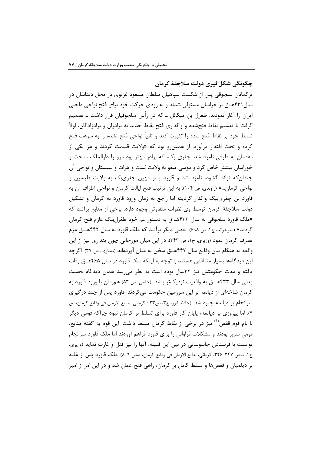چگونگی شکل گیری دولت سلاجقهٔ کرمان ترکمانان سلجوقی پس از شکست سپاهیان سلطان مسعود غزنوی در محل دندانقان در سال ۴۳۱هــق بر خراسان مستولی شدند و به زودی حرکت خود برای فتح نواحی داخلی ایران را آغاز نمودند. طغرل بن میکائل ــ که در رأس سلجوقیان قرار داشت ــ تصمیم گرفت با تقسیم نقاط فتحشده و واگذاری فتح نقاط جدید به برادران و برادزادگان، اولاً تسلط خود بر نقاط فتح شده را تثبيت كند و ثانياً نواحي فتح نشده را به سرعت فتح کرده و تحت اقتدار درآورد. از همین و بود که «ولایت قسمت کردند و هر یکی از مقدمان به طرفی نامزد شد. چغری بک، که برادر مهتر بود مرو را دارالملک ساخت و خوراسان بیشتر خاص کرد و موسی پبغو به ولایت بُست و هرات و سیستان و نواحی آن چندان که تواند گشود، نامزد شد و قاورد پسر مهین چغریبک به ولایت طبسین و نواحي كرمان…» (راوندي، ص ١٠۴). به اين ترتيب فتح ايالت كرمان و نواحي اطراف آن به قاورد بن چغریبیگ واگذار گردید؛ اما راجع به زمان ورود قاورد به کرمان و تشکیل دولت سلاجقهٔ کرمان توسط وی نظرات متفاوتی وجود دارد. برخی از منابع برآنند که «ملک قاورد سلجوقی به سال ۴۳۳هـ.ق به دستور عم خود طغرل بیگ عازم فتح کرمان گردید» (میرخواند، ج۴، ص ۶۹۸). بعضی دیگر برآنند که ملک قاورد به سال ۴۴۲هـ.ق عزم تصرف کرمان نمود (وزیری، ج۱، ص ۳۴۳). در این میان مورخانی چون بنداری نیز از این واقعه به هنگام بیان وقایع سال ۴۴۷هـق سخن به میان آوردهاند (بنداری، ص ۳۷). اگرچه این دیدگاهها بسیار متناقض هستند با توجه به اینکه ملک قاورد در سال ۴۶۵هــق وفات یافته و مدت حکومتش نیز ۳۲سال بوده است به نظر می رسد همان دیدگاه نخست يعني سال ۴۳۳هـ.ق به واقعيت نزديكتر باشد. (حلمي، ص ۵۳) همزمان با ورود قاورد به کرمان شاخهای از دیالمه بر این سرزمین حکومت می کردند. قاورد پس از چند در گیری سرانجام بر دیالمه چیره شد. (حافظ ابرو، ج٣، ص٢٢ ؛ کرمانی، بدایع الازمان فی وقایع کرمان، ص ۴). اما پیروزی بر دیالمه، پایان کار قاورد برای تسلط بر کرمان نبود چراکه قومی دیگر با نام قوم قفص<sup>(۱)</sup> نیز در برخی از نقاط کرمان تسلط داشت. این قوم به گفته منابع، قومی شریر بودند و مشکلات فراوانی را برای قاورد فراهم آوردند اما ملک قاورد سرانجام توانست با فرستادن جاسوسانی در بین این قبیله، آنها را نیز قتل و غارت نماید (وزیری، ج١، صص ٣٢٧-٣۴۶، كرماني، بدايع الازمان في وقايع كرمان، صص ٩-٨). ملك قاورد يس از غلبه بر دیلمیان و قفصها و تسلط کامل بر کرمان، راهی فتح عمان شد و در این امر از امیر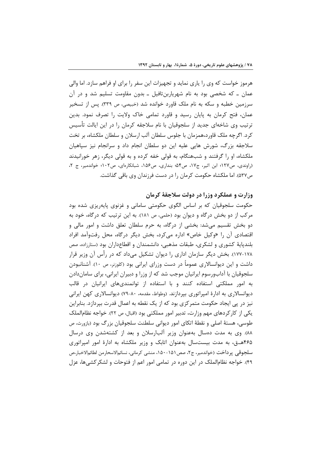هرموز خواست که وی را پاری نماید و تجهیزات این سفر را برای او فراهم سازد. اما والی عمان ـ که شخصی بود به نام شهریاربنتافیل ـ بدون مقاومت تسلیم شد و در آن سرزمین خطبه و سکه به نام ملک قاورد خوانده شد (خبیصی، ص ۳۳۹). پس از تسخیر عمان، فتح کرمان به پایان رسید و قاورد تمامی خاک ولایت را تصرف نمود. بدین ترتیب وی شاخهای جدید از سلجوقیان با نام سلاجقه کرمان را در این ایالت تأسیس کرد. اگرچه ملک قاورد،همزمان با جلوس سلطان آلب ارسلان و سلطان ملکشاه، بر تخت سلاجقه بزرگ، شورش هایی علیه این دو سلطان انجام داد و سرانجام نیز سپاهیان ملکشاه، او را گرفتند و شبهنگام، به قولی خفه کرده و به قولی دیگر، زهر خورانیدند (راوندی، ص١٢٧؛ ابن اثير، ج١٧، ص٥۴؛ بنداری، ص١۵۶، شبانكارهای، ص١٠٢؛ خواندمير، ج ٢، ص٥٣٧). اما ملكشاه حكومت كرمان را در دست فرزندان وي باقي گذاشت.

وزارت و عملکرد وزرا در دولت سلاجقهٔ کرمان

حکومت سلجوقیان که بر اساس الگوی حکومتی سامانی و غزنوی پایهریزی شده بود مرکب از دو بخش در گاه و دیوان بود (حلمی، ص ۱۸۱). به این ترتیب که در گاه، خود به دو بخش تقسیم می شد: بخشی از درگاه، به حرم سلطان تعلق داشت و امور مالی و اقتصادی آن ,ا «وکیل خاص» اداره مے کرد، بخش دیگر درگاه، محل رفتوآمد افراد بلندپایهٔ کشوری و لشکری، طبقات مذهبی، دانشمندان و اقطاعداران بود (ستارزاده، صص ۱۷۸-۱۷۷). بخش دیگر سازمان اداری را دیوان تشکیل میداد که در رأس آن وزیر قرار داشت و این دیوانسالاری عموماً در دست وزرای ایرانی بود (کلوزنر، ص ۱۰). آشنانبودن سلجوقیان با آدابورسوم ایرانیان موجب شد که از وزرا و دبیران ایرانی، برای ساماندادن به امور مملکتی استفاده کنند و با استفاده از توانمندیهای ایرانیان در قالب دیوانسالاری به ادارهٔ امپراتوری بپردازند. (وطواط، مقدمه، ۸۰-۷۹) دیوانسالاری کهن ایرانی نیز در پی ایجاد حکومت متمرکزی بود که از یک نقطه به اعمال قدرت بپردازد. بنابراین یکی از کارکردهای مهم وزارت، تدبیر امور مملکتی بود (اقبال، ص ۲۲). خواجه نظام|لملک طوسی، هستهٔ اصلی و نقطهٔ اتکای امور دیوانی سلطنت سلجوقیان بزرگ بود (بازورث، ص ٨٨). وي به مدت دهسال بهعنوان وزير آلبارسلان و بعد از كشتهشدن وي درسال ۴۶۵هــق، به مدت بیستسال بهعنوان اتابک و وزیر ملکشاه به ادارهٔ امور امپراتوری سلجوقي پر داخت (خواندمير، ج٢، صص١٥١-١۵٠، منشي كرماني، نسائمالاسحارمن لطائمالاخبار،ص ۴۹). خواجه نظام|لملک در این دوره در تمامی امور اعم از فتوحات و لشکر کشیها، عزل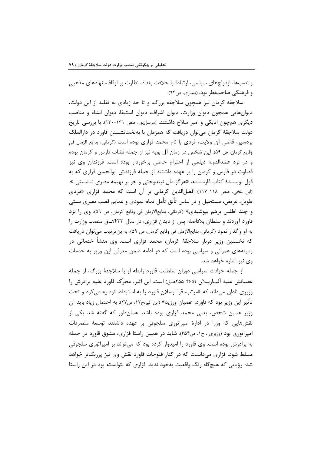و نصبها، ازدواجهای سیاسی، ارتباط با خلافت بغداد، نظارت بر اوقاف، نهادهای مذهبی و فرهنگی صاحب نظر بود. (بنداری، ص۹۴).

سلاجقه کرمان نیز همچون سلاجقه بزرگ، و تا حد زیادی به تقلید از این دولت، دیوانهایی همچون دیوان وزارت، دیوان اشراف، دیوان استیفا، دیوان انشاء و مناصب دیگری همچون اتابکی و امیر سلاح داشتند. (مرسلپور، صص ۱۳۱-۱۳۰). با بررسی تاریخ دولت سلاجقهٔ کرمان می توان دریافت که همزمان با بهتختنشستن قاورد در دارالملک بردسیر، قاضی آن ولایت، فردی با نام محمد فزاری بوده است (کرمانی، بدایع الزمان فی وقايع كرمان، ص ۵۹). اين شخص در زمان آل بويه نيز از جمله قضات فارس و كرمان بوده و در نزد عضدالدوله دیلمی از احترام خاصی برخوردار بوده است. فرزندان وی نیز قضاوت در فارس و کرمان را بر عهده داشتند از جمله فرزندش ابوالحسن فزاری که به قول نویسندهٔ کتاب فارسنامه، «هرگز مال نیندوختی و جز بر بهیمه مصری ننشستی…». (ابن بلغي، صص ١١٨-١١٧) افضلالدين كرماني بر أن است كه محمد فزاري «مردي طویل، عریض، مستحیل و در لباس تأنق تأمل تمام نمودی و عمایم قصب مصری بستی و چند اطلس برهم بپوشیدی» (کرمانی، بدایعالازمان فی وقایع کرمان، ص ۵۹). وی را نزد قاورد آوردند و سلطان بلافاصله پس از دیدن فزاری، در سال ۴۳۳هــق منصب وزارت را به او واگذار نمود (كرماني، بدايعالازمان في وقايع كرمان، ص ۵۹). بهاين تر تيب مي توان دريافت که نخستین وزیر دربار سلاجقهٔ کرمان، محمد فزاری است. وی منشأ خدماتی در زمینههای عمرانی و سیاسی بوده است که در ادامه ضمن معرفی این وزیر به خدمات وی نیز اشاره خواهد شد.

از جمله حوادث سیاسی دوران سلطنت قاورد رابطه او با سلاجقهٔ بزرگ، از جمله عصیانش علیه آلبارسلان (۴۶۵–۴۵۵هـق) است. ابن اثیر، محرّک قاورد علیه برادرش را وزیری نادان می داند که «مرتب، قرا ارسلان قاورد را به استبداد، توصیه می کرد و تحت تأثير اين وزير بود كه قاورد، عصيان ورزيد» (ابن اثير،ج١٧، ص٢٧). به احتمال زياد بايد آن وزیر همین شخص، یعنی محمد فزاری بوده باشد. همانطور که گفته شد یکی از نقشهایی که وزرا در ادارهٔ امپراتوری سلجوقی بر عهده داشتند توسعهٔ متصرفات امپراتوری بود (وزیری ، ج۱، ص۳۵۴). شاید در همین راستا فزاری، مشوق قاورد در حمله به برادرش بوده است. وی قاورد را امیدوار کرده بود که می تواند بر امپراتوری سلجوقی مسلط شود. فزاری میدانست که در کنار فتوحات قاورد نقش وی نیز پررنگتر خواهد شد؛ رؤیایی که هیچگاه رنگ واقعیت بهخود ندید. فزاری که نتوانسته بود در این راستا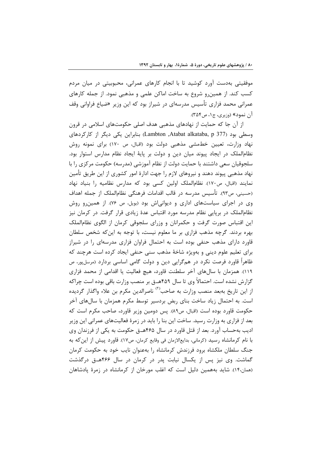موفقیتی بهدست آورد کوشید تا با انجام کارهای عمرانی، محبوبیتی در میان مردم کسب کند. از همینرو شروع به ساخت اماکن علمی و مذهبی نمود. از جمله کارهای عمرانی محمد فزاری تأسیس مدرسهای در شیراز بود که این وزیر «ضیاع فراوانی وقف آن نمود» (وزيري، ج۱، ص۳۵۴).

از آن جا که حمایت از نهادهای مذهبی هدف اصلی حکومتهای اسلامی در قرون وسطی بود (Lambton ,Atabat alkataba, p 377) بنابراین یکی دیگر از کارکردهای نهاد وزارت، تعیین خطمشی مذهبی دولت بود (اقبال، ص ۱۷۰) برای نمونه روش نظام|لملک در ایجاد پیوند میان دین و دولت بر پایهٔ ایجاد نظام مدارس استوار بود. سلجوقیان سعی داشتند با حمایت دولت از نظام آموزشی (مدرسه) حکومت مرکزی را با نهاد مذهبی پیوند دهند و نیروهای لازم را جهت ادارهٔ امور کشوری از این طریق تأمین نمايند (اقبال، ص١٧٠). نظام|لملک اولين کسي بود که مدارس نظاميه را بنياد نهاد (حسيني، ص٩٣). تأسيس مدرسه در قالب اقدامات فرهنگي نظام|لملک از جمله اهداف وی در اجرای سیاستهای اداری و دیوانیاش بود (بویل، ص ٧۶). از همین و روش نظام|لملک در برپایی نظام مدرسه مورد اقتباس عدهٔ زیادی قرار گرفت. در کرمان نیز این اقتباس صورت گرفت و حکمرانان و وزرای سلجوقی کرمان از الگوی نظامالملک بهره بردند. گرچه مذهب فزاری بر ما معلوم نیست، با توجه به اینکه شخص سلطان قاورد دارای مذهب حنفی بوده است به احتمال فراوان فزاری مدرسهای را در شیراز برای تعلیم علوم دینی و بهویژه شاخهٔ مذهب سنی حنفی ایجاد کرده است هرچند که ظاهراً قاورد فرصت نکرد در همگرایی دین و دولت گامی اساسی بردارد (مرسلپور، ص ١١٩). همزمان با سالهای آخر سلطنت قاورد، هیچ فعالیت یا اقدامی از محمد فزاری گزارش نشده است. احتمالاً وی تا سال ۴۵۹هـق بر منصب وزارت باقی بوده است چراکه از این تاریخ بهبعد منصب وزارت به صاحب<sup>(۲)</sup> ناصرالدین مکرم بن علاء واگذار گردیده است. به احتمال زیاد ساخت بنای ربض بردسیر توسط مکرم همزمان با سالهای آخر حکومت قاورد بوده است (اقبال، ص٨٩). پس دومين وزير قاورد، صاحب مکرم است که بعد از فزاری به وزارت رسید. ساخت این بنا را باید در زمرهٔ فعالیتهای عمرانی این وزیر ادیب بهحساب آورد. بعد از قتل قاورد در سال ۴۶۵هـق حکومت به یکی از فرزندان وی با نام کرمانشاه رسید (کرمانی، بدایعالازمان فی وقایع کرمان، ص۱۷). قاورد پیش از این که به جنگ سلطان ملکشاه برود فرزندش کرمانشاه را بهعنوان نایب خود به حکومت کرمان گماشت. وی نیز پس از یکسال نیابت پدر در کرمان در سال ۴۶۶هـق درگذشت (همان،۱۴). شاید بههمین دلیل است که اغلب مورخان از کرمانشاه در زمرهٔ پادشاهان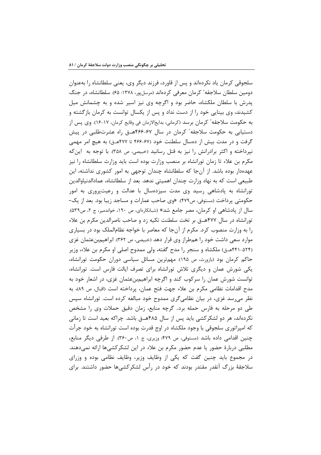سلجوقی کرمان یاد نکردهاند و پس از قاورد، فرزند دیگر وی، یعنی سلطانشاه را بهعنوان دومین سلطان سلاجقه ٔ کرمان معرفی کردهاند (مرسلپور، ۱۳۷۸: ۶۵). سلطانشاه، در جنگ پدرش با سلطان ملکشاه، حاضر بود و اگرچه وی نیز اسیر شده و به چشمانش میل کشیدند، وی بینایی خود را از دست نداد و پس از یکسال توانست به کرمان بازگشته و به حكومت سلاجقه ً كرمان برسد (كرماني، بدايع|لازمان في وقايع كرمان، ١٧-١۶). وي پس از دستیابی به حکومت سلاجقه ٔ کرمان در سال ۶۷-۴۶۶هـ.ق راه عشرتطلبی در پیش گرفت و در مدت بیش از دهسال سلطنت خود (۶۷-۴۶۶ تا ۴۷۷هـق) به هیچ امر مهمی نپرداخته و اکثر برادرانش را نیز به قتل رسانید (خبیصی، ص ۳۵۸). با توجه به این که مکرم بن علاء تا زمان تورانشاه بر منصب وزارت بوده است باید وزارت سلطانشاه را نیز عهدهدار بوده باشد. از آنجا که سلطانشاه چندان توجهی به امور کشوری نداشته، این طبیعی است که به نهاد وزارت چندان اهمیتی ندهد. بعد از سلطانشاه، عمادالدنیاوالدین تورانشاه به پادشاهی رسید وی مدت سیزدهسال با عدالت و رعیتپروری به امور حکومتی پرداخت (مستوفی، ص۴۷۹). «وی صاحب عمارات و مساجد زیبا بود. بعد از یک-سال از یادشاهی او کرمان، مصر جامع شد» (شبانکارهای، ص ۱۹۰، خواندمیر، ج ۲، ص۵۳۹). تورانشاه در سال ۴۷۷هــق بر تخت سلطنت تکیه زد و صاحب ناصرالدین مکرم بن علاء را به وزارت منصوب کرد. مکرم از آنجا که معاصر با خواجه نظام|لملک بود در بسیاری موارد سعی داشت خود را همطراز وی قرار دهد (خبیصی، ص ۳۶۲). ابراهیمبنءثمان غزی (۵۲۴-۴۴۱هــق) ملكشاه و سنجر را مدح گفته، ولي ممدوح اصلي او مكرم بن علاء، وزير حاکم کرمان بود (بازورث، ص ۱۹۵). مهمترین مسائل سیاسی دوران حکومت تورانشاه، یکی شورش عمان و دیگری تلاش تورانشاه برای تصرف ایالت فارس است. تورانشاه، توانست شورش عمان را سرکوب کند و اگرچه ابراهیم.بنعثمان غزی، در اشعار خود به مدح اقدامات نظامی مکرم بن علاء جهت فتح عمان، پرداخته است (اقبال، ص ۸۹)، به نظر می رسد غزی، در بیان نظامی گری ممدوح خود مبالغه کرده است. تورانشاه سپس طی دو مرحله به فارس حمله برد. گرچه منابع، زمان دقیق حملات وی را مشخص نکردهاند، هر دو لشکرکشی باید پس از سال ۴۸۵هـق باشد. چراکه بعید است تا زمانی که امپراتوری سلجوقی با وجود ملکشاه در اوج قدرت بوده است تورانشاه به خود جرأت چنین اقدامی داده باشد (مستوفی، ص ۴۷۹؛ وزیری، ج ۱، ص۳۶۰). از طرفی دیگر منابع، مطلبی دربارهٔ حضور یا عدم حضور مکرم بن علاء در این لشکرکشیها ارائه نمیدهند. در مجموع باید چنین گفت که یکی از وظایف وزیر، وظایف نظامی بوده و وزرای سلاجقهٔ بزرگ آنقدر مقتدر بودند که خود در رأس لشکرکشی۵ا حضور داشتند. برای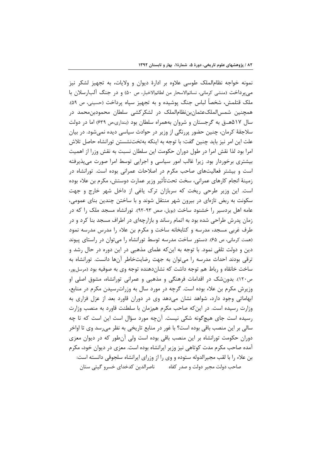نمونه خواجه نظام|لملک طوسی علاوه بر ادارهٔ دیوان و ولایات، به تجهیز لشکر نیز مي پرداخت (منشى كرماني، نسائمالاسحار من لطائم|لاخبار، ص ۵۰) و در جنگ آلبارسلان با ملک قتلمش، شخصاً لباس جنگ پوشیده و به تجهیز سپاه پرداخت (حسینی، ص ۵۹). همچنین شمس|لملکءثمان,بننظام|لملک در لشکرکشی سلطان محمودبن،محمد در سال ۵۱۷هــق به گرجستان و شروان بههمراه سلطان بود (بنداری،ص ۶۳۹) اما در دولت سلاجقهٔ کرمان، چنین حضور پررنگی از وزیر در حوادث سیاسی دیده نمیشود. در بیان علت این امر نیز باید چنین گفت: با توجه به اینکه بهتختنشستن تورانشاه حاصل تلاش امرا بود لذا نقش امرا در طول دوران حکومت این سلطان نسبت به نقش وزرا از اهمیت بیشتری برخوردار بود. زیرا غالب امور سیاسی و اجرایی توسط امرا صورت می پذیرفته است و بیشتر فعالیتهای صاحب مکرم در اصلاحات عمرانی بوده است. تورانشاه در زمينهٔ انجام كارهاي عمراني، سخت تحت $\vec{b}$ ثير وزير عمارت دوستش، مكرم بن علاء بوده است. این وزیر طرحی ریخت که سربازان ترک پاغی از داخل شهر خارج و جهت سکونت به ربض تازهای در بیرون شهر منتقل شوند و با ساختن چندین بنای عمومی، عامه اهل بردسیر را خشنود ساخت (بویل، صص ۹۳-۹۲). تورانشاه مسجد ملک را که در زمان پدرش طراحی شده بود به اتمام رساند و بازارچهای در اطراف مسجد بنا کرد و در طرف غربی مسجد، مدرسه و کتابخانه ساخت و مکرم بن علاء را مدرس مدرسه نمود (همت کرمانی، ص ۶۵). دستور ساخت مدرسه توسط تورانشاه را می توان در راستای پیوند دین و دولت تلقی نمود. با توجه به اینکه علمای مذهبی در این دوره در حال رشد و ترقی بودند احداث مدرسه را می توان به جهت رضایتخاطر آنها دانست. تورانشاه به ساخت خانقاه و رباط هم توجه داشت که نشاندهنده توجه وی به صوفیه بود (مرسلپور، ص١٢٠). بدونشک در اقدامات فرهنگی و مذهبی و عمرانی تورانشاه، مشوق اصلی او وزیرش مکرم بن علاء بوده است. گرچه در مورد سال به وزراترسیدن مکرم در منابع، ابهاماتی وجود دارد، شواهد نشان میدهد وی در دوران قاورد بعد از عزل فزاری به وزارت رسیده است. در این که صاحب مکرم همزمان با سلطنت قاورد به منصب وزارت رسیده است جای هیچگونه شکی نیست. آنچه مورد سؤال است این است که تا چه سالي بر اين منصب باقي بوده است؟ با غور در منابع تاريخي به نظر مي سد وي تا اواخر دوران حکومت تورانشاه بر این منصب باقی بوده است ولی آنطور که در دیوان معزی آمده صاحب مکرم مدت کوتاهی نیز وزیر ایرانشاه بوده است. معزی در دیوان خود، مکرم بن علاء را با لقب مجیرالدوله ستوده و وی را از وزرای ایرانشاه سلجوقی دانسته است: صاحب دولت مجير دولت و صدر كفاه مسما ناصرالدين كدخداي خسرو گيتي ستان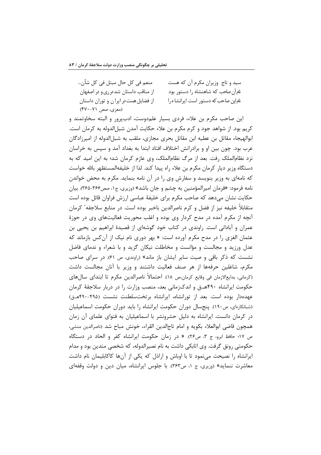| منعم في كل حال مبتل في كل شأن        | سید و تاج وزیران مکرم آن که هست        |
|--------------------------------------|----------------------------------------|
| از مناقب داستان شددرری و در اصفهان   | نام آن صاحب که شاهنشاه را دستور بود    |
| از فضایل هست در ایران و توران داستان | نام این صاحب که دستور است ایرانشا ه را |
| (معزی، صص ۷۱-۴۷۰)                    |                                        |

این صاحب مکرم بن علاء، فردی بسیار علمدوست، ادبپرور و البته سخاوتمند و کريم بود. از شواهد جود و کړم مکړم بن علاء حکايت آمدن شبل|لدوله به کړمان است. ابوالهيجاء مقاتل بن عطيه ابن مقاتل بحرى مجازى، ملقب به شبل|لدوله از اميرزادگان عرب بود. چون بین او و برادرانش اختلاف افتاد ابتدا به بغداد آمد و سپس به خراسان نزد نظامالملک رفت. بعد از مرگ نظامالملک، وی عازم کرمان شد؛ به این امید که به دستگاه وزیر دیار کرمان مکرم بن علاء راه پیدا کند. لذا از خلیفهالمستظهر بالله خواست که نامهای به وزیر بنویسد و سفارش وی را در آن نامه بنماید. مکرم به محض خواندن نامه فرمود: «فرمان امیرالمؤمنین به چشم و جان باشد» (وزیری، ج۱، صص۳۶۶-۳۶۵). بیان حکایت نشان مے دھد که صاحب مکرم برای خلیفهٔ عباسی ارزش فراوان قائل بوده است متقابلاً خليفه نيز از فضل و كرم ناصرالدين باخبر بوده است. در منابع سلاجقه ٔ كرمان آنچه از مکرم آمده در مدح کردار وی بوده و اغلب محوریت فعالیتهای وی در حوزهٔ عمران و آبادانی است. راوندی در کتاب خود گوشهای از قصیدهٔ ابراهیم بن یحیی بن عثمان الغزی را در مدح مکرم آورده است: « بهر دوری نام نیک از آن *ک*س بازماند که عدل ورزید و مجالست و مؤانست و مخاطلت نیکان گزید و با شعراء و ندمای فاضل نشست که ذکر باقی و صیت سایر ایشان باز ماند» (راوندی، ص ۶۱). در سرای صاحب مکرم، شاغلین حرفهها از هر صنف فعالیت داشتند و وزیر با آنان مجالست داشت (كرماني، بدايع|لازمان في وقايع كرمان،ص ١٨). احتمالاً ناصرالدين مكرم تا ابتداي سالهاي حکومت ایرانشاه ۴۹۰هــق و اندکزمانی بعد، منصب وزارت را در دربار سلاجقهٔ کرمان عهدهدار بوده است. بعد از تورانشاه، ایرانشاه برتختسلطنت نشست (۴۹۵-۴۹۰هـق) (شبانکارهای، ص۱۹۰). پنجسال دوران حکومت ایرانشاه را باید دوران حکومت اسماعیلیان در کرمان دانست. ایرانشاه به دلیل حشرونشر با اسماعیلیان به فتوای علمای آن زمان همچون قاضی ابوالعلاء بکویه و امام تاجالدین القراء، خونش مباح شد (ناصرالدین منشی، ص ١٧؛ حافظ ابرو، ج ٣، ص٢٤). « در زمان حكومت ايرانشاه كفر و الحاد در دستگاه حکومتی رونق گرفت. وی اتابکی داشت به نام نصیرالدوله، که شخصی متدین بود و مدام ایرانشاه را نصیحت می نمود تا با اوباش و اراذل که یکی از آنها کاکابلیمان نام داشت معاشرت ننماید» (وزیری، ج ۱، ص۳۶۳). با جلوس ایرانشاه، میان دین و دولت وقفهای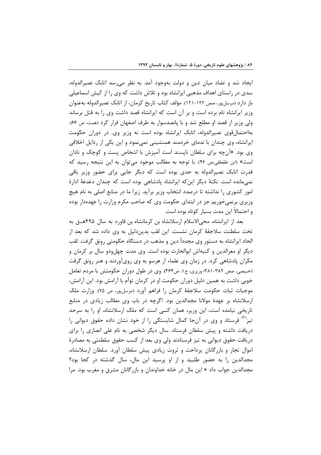ایجاد شد و تضاد میان دین و دولت بهوجود آمد. به نظر می سد اتابک نصیرالدوله، سدی در راستای اهداف مذهبی ایرانشاه بود و تلاش داشت که وی را از کیش اسماعیلی باز دارد (مرسلپور، صص ۱۲۲–۱۲۱). مؤلف کتاب تاریخ کرمان، از اتابک نصیرالدوله بهعنوان وزیر ایرانشاه نام برده است و بر آن است که ایرانشاه قصد داشت وی را به قتل برساند ولي وزير از قصد او مطلع شد و با پانصدسوار به طرف اصفهان فرار كرد (همت، ص ۶۶). بهاحتمال قوی نصیرالدوله، اتابک ایرانشاه بوده است نه وزیر وی. در دوران حکومت ایرانشاه، وی چندان با ندمای خردمند همنشینی نمینمود و این یکی از رذایل اخلاقی وی بود. «آنچه برای سلطان نایسند است آمیزش با اشخاص پست و کوچک و نادان است» (ابن طقطقی،ص ۴۶). با توجه به مطالب موجود می توان به این نتیجه رسید که قدرت اتابک نصیرالدوله به حدی بوده است که دیگر جایی برای حضور وزیر باقی نمی،مانده است. نکتهٔ دیگر این که ایرانشاه پادشاهی بوده است که چندان دغدغهٔ ادارهٔ امور کشوری را نداشته تا درصدد انتخاب وزیر برآید. زیرا ما در منابع اصلی به نام هیچ وزیری برنمیخوریم جز در ابتدای حکومت وی که صاحب مکرم وزارت را عهدهدار بوده و احتمالاً این مدت بسیار کوتاه بوده است.

بعد از ایرانشاه، محی الاسلام ارسلانشاه بن کرمانشاه بن قاورد به سال ۴۹۵هــق به تخت سلطنت سلاجقهٔ کرمان نشست. این لقب بدیندلیل به وی داده شد که بعد از الحاد ايرانشاه به دستور وي مجدداً دين و مذهب در دستگاه حکومتي رونق گرفت. لقب دیگر او معزالدین و کنیهاش ابوالحارث بوده است. وی مدت چهلودو سال بر کرمان و مکران پادشاهی کرد. در زمان وی علماء از هرسو به وی رویآوردند و هنر رونق گرفت (خبیصی، صص ۳۸۲-۳۸۱؛ وزیری، ج۱، ص۳۶۴). وی در طول دوران حکومتش با مردم تعامل خوبی داشت به همین دلیل دوران حکومت او در کرمان توأم با آرامش بود. این آرامش، موجبات ثبات حكومت سلاجقهٔ كرمان را فراهم آورد (مرسلپور، ص ۷۵). وزارت ملک ارسلانشاه بر عهدهٔ مولانا مجدالدین بود. اگرچه در باب وی مطالب زیادی در منابع تاریخی نیامده است، این وزیر، همان کسی است که ملک ارسلانشاه، او را به سرحد تیز<sup>٬٬٬</sup> فرستاد و وی در آنجا کمال شایستگی را از خود نشان داده حقوق دیوانی را دریافت داشته و پیش سلطان فرستاد. سال دیگر شخصی به نام علی انصاری را برای دریافت حقوق دیوانی به تیز فرستادند ولی وی بعد از کسب حقوق سلطنتی به مصادرهٔ اموال تجار و بازرگانان پرداخت و ثروت زیادی پیش سلطان آورد. سلطان ارسلانشاه، مجدالدین را به حضور طلبید و از او پرسید این مال، سال گذشته در کجا بود؟ مجدالدین جواب داد « این مال در خانه خداوندان و بازرگانان مشرق و مغرب بود. مرا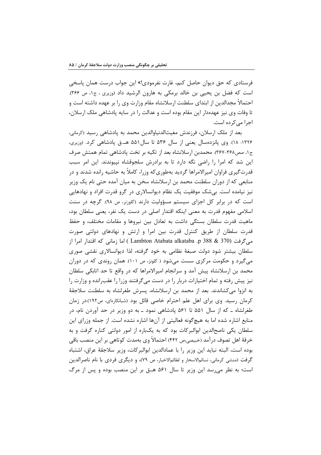فرستادي كه حق ديوان حاصل كنم، غارت نفرمودي!» اين جواب درست همان پاسخي است كه فضل بن يحيى بن خالد برمكي به هارون الرشيد داد (وزيري ، ج۱، ص ۳۶۶). احتمالاً مجدالدین از ابتدای سلطنت ارسلانشاه مقام وزارت وی را بر عهده داشته است و تا وفات وی نیز عهدهدار این مقام بوده است و عدالت را در سایه پادشاهی ملک ارسلان، اجرا مے کردہ است.

بعد از ملک ارسلان، فرزندش مغیثالدنیاوالدین محمد به پادشاهی رسید (کرمانی، ۱۳۲۶: ۱۸). وی پانزدهسال یعنی از سال ۵۳۶ تا سال ۵۵۱ هـ.ق پادشاهی کرد. (وزیری، ج۱، صص۳۶۸-۳۶۷). محمدبن ارسلانشاه بعد از تکیه بر تخت یادشاهی تمام همتش صرف این شد که امرا را راضی نگه دارد تا به برادرش سلجوقشاه نپیوندند. این امر سبب قدرت گیری فراوان امیرالامراها گردید بهطوری که وزرا، کاملاً به حاشیه رانده شدند و در منابعی که از دوران سلطنت محمد بن ارسلانشاه سخن به میان آمده حتی نام یک وزیر نیز نیامده است. بی شک موفقیت یک نظام دیوانسالاری در گرو قدرت افراد و نهادهایی است که در برابر کل اجزای سیستم مسؤولیت دارند (کلوزنر، ص ۹۸). گرچه در سنت اسلامی مفهوم قدرت به معنی اینکه اقتدار اصلی در دست یک نفر، یعنی سلطان بود، ماهیت قدرت سلطان بستگی داشت به تعادل بین نیروها و مقامات مختلف، و حفظ قدرت سلطان از طریق کنترل قدرت بین امرا و ارتش و نهادهای دولتی صورت مبي گرفت (Lambton Atabata alkataba .p 388 & 370 ) اما زماني كه اقتدار امرا از سلطان بیشتر شود دولت صبغهٔ نظامی به خود گرفته، لذا دیوانسالاری نقشی صوری می گیرد و حکومت مرکزی سست میشود ( کلونز، ص ۱۰۱). همان روندی که در دوران محمد بن ارسلانشاه پیش آمد و سرانجام امیرالامراها که در واقع تا حد اتابکی سلطان نیز پیش رفته و تمام اختیارات دربار را در دست میگرفتند وزرا را عقبرانده و وزارت را به انزوا می کشاندند. بعد از محمد بن ارسلانشاه، پسرش طغرلشاه به سلطنت سلاجقهٔ کرمان رسید. وی برای اهل علم احترام خاصی قائل بود (شبانکارهای، ص۱۹۲).در زمان طغرلشاه ــ که از سال ۵۵۱ تا ۵۶۱ پادشاهی نمود ــ به دو وزیر در حد آوردن نام، در منابع اشاره شده اما به هیچگونه فعالیتی از آنها اشاره نشده است. از جمله وزرای این سلطان یکی ناصحالدین ابوالبرکات بود که به یکباره از امور دولتی کناره گرفت و به خرقهٔ اهل تصوف درآمد (خبیصی،ص ۴۴۲) احتمالاً وی بهمدت کوتاهی بر این منصب باقی بوده است، البته نبايد اين وزير را با عمادالدين ابوالبركات، وزير سلاجقهٔ عراق، اشتباه گرفت (منشى كرمانى، نسائمالاسحار و لطائمالاخبار، ص ٧٩)، و ديگرى فردى با نام ناصرالدين است؛ به نظر می رسد این وزیر تا سال ۵۶۱ هــق بر این منصب بوده و پس از مرگ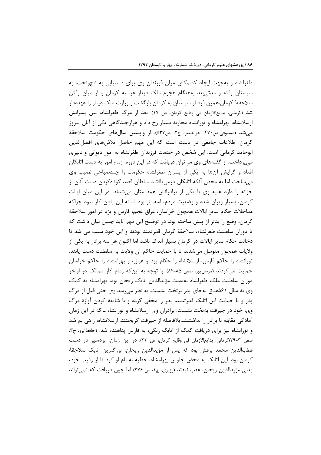طغرلشاه و بهجهت ایجاد کشمکش میان فرزندان وی برای دستیابی به تاجوتخت، به سیستان رفته و مدتی بعد بههنگام هجوم ملک دینار غز، به کرمان و از میان رفتن سلاجقه ٔ کرمان،همین فرد از سیستان به کرمان بازگشت و وزارت ملک دینار را عهدهدار شد (کرمانی، بدایعالازمان فی وقایع کرمان، ص ١٧). بعد از مرگ طغرلشاه، بین پسرانش ارسلانشاه، بهرامشاه و تورانشاه محاربه بسیار رخ داد و هرازچندگاهی یکی از آنان پیروز می شد (مستوفی،ص۴۷۰؛ خواندمیر، ج۲، ص۵۳۷). از واپسین سالهای حکومت سلاجقهٔ كرمان اطلاعات جامعى در دست است كه اين مهم حاصل تلاشهاى افضل الدين ابوحامد کرمانی است. این شخص در خدمت فرزندان طغرلشاه به امور دیوانی و دبیری می پرداخت. از گفتههای وی می توان دریافت که در این دوره، زمام امور به دست اتابکان افتاد و گرایش آنها به یکی از پسران طغرلشاه حکومت را چندصباحی نصیب وی میساخت اما به محض آنکه اتابکان درمی یافتند سلطان قصد کوتاهکردن دست آنان از خزانه را دارد علیه وی با یکی از برادرانش همداستان میشدند. در این میان ایالت کرمان، بسیار ویران شده و وضعیت مردم، اسفبار بود. البته این پایان کار نبود چراکه مداخلات حکام سایر ایالات همچون خراسان، عراق عجم، فارس و یزد در امور سلاجقهٔ کرمان، وضع را بدتر از پیش ساخته بود. در توضیح این مهم باید چنین بیان داشت که تا دوران سلطنت طغرلشاه، سلاجقهٔ کرمان قدرتمند بودند و این خود سبب می شد تا دخالت حکام سایر ایالات در کرمان بسیار اندک باشد اما اکنون هر سه برادر به یکی از ولايات همجوار متوسل مىشدند تا با حمايت حاكم آن ولايت به سلطنت دست يابند. تورانشاه را حاکم فارس، ارسلانشاه را حکام یزد و عراق، و بهرامشاه را حاکم خراسان حمایت می کردند (مرسلپور، صص ۸۵-۸۴). با توجه به این که زمام کار ممالک در اواخر دوران سلطنت ملک طغرلشاه بهدست مؤيدالدين اتابک ريحان بود، بهرامشاه به کمک وی به سال ۵۶۱هـق بهجای پدر برتخت نشست. به نظر میرسد وی حتی قبل از مرگ پدر و با حمایت این اتابک قدرتمند، پدر را مخفی کرده و با شایعه کردن آوازهٔ مرگ وی، خود در جیرفت بهتخت نشست. برادران وی ارسلانشاه و تورانشاه ــ که در این زمان آمادگی مقابله با برادر را نداشتندـ بلافاصله از جیرفت گریختند. ارسلانشاه، راهی بم شد و تورانشاه نیز برای دریافت کمک از اتابک زنگی، به فارس پناهنده شد. (حافظابرو، ج۳، صص٣٠-٢٩؛ كرماني، بدايعالازمان في وقايع كرمان، ص ٣٣). در اين زمان، بردسير در دست قطبالدین محمد بزقش بود که پس از مؤیدالدین ریحان، بزرگترین اتابک سلاجقهٔ کرمان بود. این اتابک به محض جلوس بهرامشاه، خطبه به نام او کرد تا از رقیب خود، یعنی مؤیدالدین ریحان، عقب نیفتد (وزیری، ج۱، ص ۳۷۶) اما چون دریافت که نمی تواند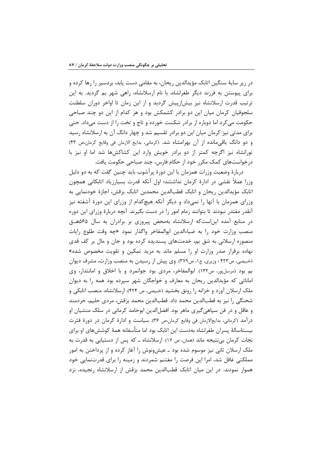در زیر سایهٔ سنگین اتابک مؤیدالدین ریحان، به مقامی دست یابد، بردسیر را رها کرده و برای پیوستن به فرزند دیگر طغرلشاه، با نام ارسلانشاه، راهی شهر بم گردید. به این ترتیب قدرت ارسلانشاه نیز بیش|زپیش گردید و از این زمان تا اواخر دوران سلطنت سلجوقیان کرمان میان این دو برادر کشمکش بود و هر کدام از این دو چند صباحی حکومت می کرد اما دوباره از برادر شکست خورده و تاج و تخت را از دست می داد. حتی برای مدتی نیز کرمان میان این دو برادر تقسیم شد و چهار دانگ آن به ارسلانشاه رسید و دو دانگ باقى مانده از آن بهرامشاه شد. (كرمانى، بدايع الازمان فى وقايع كرمان،ص ۴۳) تورانشاه نیز اگرچه کمتر از دو برادر خویش وارد این کشاکشها شد اما او نیز با درخواستهای کمک مکرر خود از حکام فارس، چند صباحی حکومت یافت.

دربارهٔ وضعیت وزرات همزمان با این دورهٔ پرآشوب باید چنین گفت که به دو دلیل وزرا عملاً نقشی در ادارهٔ کرمان نداشتند؛ اول آنکه قدرت بسیارزیاد اتابکانی همچون اتابک مؤیدالدین ریحان و اتابک قطبالدین محمدبن اتابک بزقش، اجازهٔ خودنمایی به وزرای همزمان با آنها را نمیداد و دیگر آنکه هیچکدام از وزرای این دورهٔ آشفته نیز آنقدر مقتدر نبودند تا بتوانند زمام امور را در دست بگیرند. آنچه دربارهٔ وزرای این دوره در منابع آمده این است که ارسلانشاه بهمحض پیروزی بر برادران به سال ۵۶۵هـق منصب وزارت خود را به ضياءالدين ابوالمفاخر واگذار نمود «چه وقت طلوع رايات منصوره ارسلانی به شق بم، خدمتهای پسندیده کرده بود و جان و مال بر کف قدی نهاده برقرار صدر وزارت او را مسلم ماند به مزید تمکین و تقویت مخصوص شده» (خبیصی، ص۴۲۳ ؛ وزیری، ج۱، ص۳۷۹). وی پیش از رسیدن به منصب وزارت، مشرف دیوان بم بود (مرسل پور، ص١٣٢). ابوالمفاخر، مردی بود جوانمرد و با اخلاق و امانتدار، وی اماناتی که مؤیدالدین ریحان به معارف و خواجگان شهر سپرده بود همه را به دیوان ملک ارسلان آورد و خزانه را رونق بخشید (خبیصی، ص ۴۲۴). ارسلانشاه، منصب اتابکی و شحنگی را نیز به قطبالدین محمد داد. قطبالدین محمد بزقش، مردی حلیم، خردمند و عاقل و در فن سیاهے گیری ماهر بود. افضل|لدین ابوحامد کرمانی در سلک منشیان او درآمد (کرمانی، بدایعالازمان فی وقایع کرمان،ص ۳۶). سیاست و ادارهٔ کرمان در دورهٔ فترت بیستهٔسالهٔ پسران طغرلشاه بهدست این اتابک بود اما متأسفانه همهٔ کوششهای او برای نجات کرمان بے نتیجه ماند (همان، ص ١٧). ارسلانشاه ــ که پس از دستیابی به قدرت به ملک ارسلان ثانی نیز موسوم شده بود ــ عیشونوش را آغاز کرده و از پرداختن به امور مملکتی غافل شد، امرا این فرصت را مغتنم شمردند و زمینه را برای قدرتنمایی خود هموار نمودند. در این میان اتابک قطبالدین محمد بزقش از ارسلانشاه رنجیده، نزد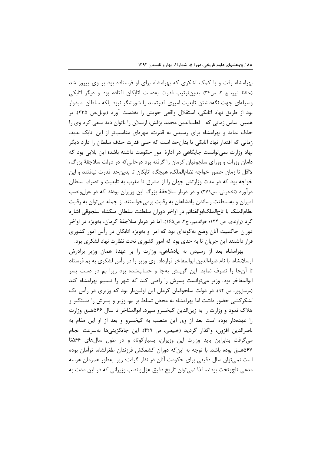بهرامشاه رفت و با کمک لشکری که بهرامشاه برای او فرستاده بود بر وی پیروز شد (حافظ ابرو، ج ٣، ص٣۴). بدينترتيب قدرت بهدست اتابكان افتاده بود و ديگر اتابكي وسیلهای جهت نگهداشتن تابعیت امیری قدرتمند یا شورشگر نبود بلکه سلطان امیدوار بود از طريق نهاد اتابكي، استقلال واقعي خويش را بهدست آورد (بويل،ص ٢٣۵). بر همین اساس زمانی که قطبالدین محمد بزقش، ارسلان را ناتوان دید سعی کرد وی را حذف نماید و بهرامشاه برای رسیدن به قدرت، مهرهای مناسبتر از این اتابک ندید. زمانی که اقتدار نهاد اتابکی تا بدان حد است که حتی قدرت حذف سلطان را دارد دیگر نهاد وزارت نمی توانست جایگاهی در ادارهٔ امور حکومت داشته باشد؛ این بلایی بود که دامان وزرات و وزرای سلجوقیان کرمان را گرفته بود درحالی که در دولت سلاجقهٔ بزرگ، لااقل تا زمان حضور خواجه نظام|لملک، هیچگاه اتابکان تا بدینحد قدرت نیافتند و این خواجه بود که در مدت وزارتش جهان را از مشرق تا مغرب به تابعیت و تصرف سلطان درآورد (نخجوانی، ص۲۷۹) و در دربار سلاجقهٔ بزرگ این وزیران بودند که در عزل ونصب امیران و بهسلطنت رساندن پادشاهان به رقابت برمیخواستند از جمله میتوان به رقابت نظام|لملک با تاج|لملک|بوالغنائم در اواخر دوران سلطنت سلطان ملکشاه سلجوقی اشاره کرد (راوندی، ص ۱۳۴؛ خواندمیر، ج۲، ص۱۶۵). اما در دربار سلاجقهٔ کرمان، بهویژه در اواخر دوران حاکمیت آنان وضع بهگونهای بود که امرا و بهویژه اتابکان در رأس امور کشوری قرار داشتند این جریان تا به حدی بود که امور کشوری تحت نظارت نهاد لشکری بود.

بهرامشاه بعد از رسیدن به پادشاهی، وزارت را بر عهدهٔ همان وزیر برادرش ارسلانشاه، با نام ضیاءالدین ابوالمفاخر قرارداد. وی وزیر را در رأس لشکری به بم فرستاد تا آنجا را تصرف نماید. این گزینش بهجا و حسابشده بود زیرا بم در دست پسر ابوالمفاخر بود. وزیر میتوانست پسرش را راضی کند که شهر را تسلیم بهرامشاه کند (مرسلپور، ص ٩٢). در دولت سلجوقيان كرمان اين اولينبار بود كه وزيرى در رأس يک لشکر کشی حضور داشت اما بهرامشاه به محض تسلط بر بم، وزیر و پسرش را دستگیر و هلاک نمود و وزارت را به زین الدین کیخسرو سیرد. ابوالمفاخر تا سال ۵۶۶هــق وزارت را عهدهدار بوده است بعد از وی این منصب به کیخسرو و بعد از او این مقام به ناصرالدين افزون، واگذار گرديد (خبيصي، ص ۴۲۹). اين جايگزينيها بهسرعت انجام می گرفت بنابراین باید وزارت این وزیران، بسیارکوتاه و در طول سال های ۵۶۶تا ۵۶۷هــق بوده باشد. با توجه به اینکه دوران کشمکش فرزندان طغرلشاه، توأمان بوده است نمی توان سال دقیقی برای حکومت آنان در نظر گرفت؛ زیرا بهطور همزمان هرسه مدعی تاجوتخت بودند، لذا نمیتوان تاریخ دقیق عزلو نصب وزیرانی که در این مدت به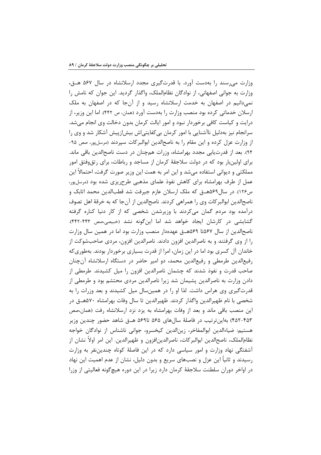وزارت می رسند را به دست آورد. با قدرتگیری مجدد ارسلانشاه در سال ۵۶۷ هـق، وزارت به جوانی اصفهانی، از نوادگان نظامالملک، واگذار گردید. این جوان که نامش را نمیدانیم در اصفهان به خدمت ارسلانشاه رسید و از آنجا که در اصفهان به ملک ارسلان خدماتی کرده بود منصب وزارت را بهدست آورد (همان، ص ۴۴۲). اما این وزیر، از درایت و کیاست کافی برخوردار نبود و امور ایالت کرمان بدون دخالت وی انجام می شد. سرانجام نیز بهدلیل ناآشنایی با امور کرمان بی کفایتی|ش بیش|زپیش آشکار شد و وی را از وزارت عزل کرده و این مقام را به ناصح الدین ابوالبر کات سپردند (مرسل پور، صص ۹۵-۹۴). بعد از قدرتیابی مجدد بهرامشاه، وزرات همچنان در دست ناصحالدین باقی ماند. برای اولینبار بود که در دولت سلاجقهٔ کرمان از مساجد و رباطات، برای رتقوفتق امور مملکتی و دیوانی استفاده میشد و این امر به همت این وزیر صورت گرفت، احتمالاً این عمل از طرف بهرامشاه برای کاهش نفوذ علمای مذهبی طرح یزی شده بود (مرسلپور، ص١٢۶). در سال١٤٩هــق كه ملك ارسلان عازم جيرفت شد قطبالدين محمد اتابك و ناصحالدین ابوالبرکات وی را همراهی کردند. ناصحالدین از آنجا که به خرقهٔ اهل تصوف درآمده بود مردم گمان میکردند با وزیرشدن شخصی که از کار دنیا کناره گرفته گشایشی در کارشان ایجاد خواهد شد اما اینگونه نشد (خبیصی،صص ۴۴۲-۴۴۲). ناصحالدین از سال ۵۶۷تا ۵۶۹هــق عهدهدار منصب وزارت بود اما در همین سال وزارت را از وی گرفتند و به ناصرالدین افزون دادند. ناصرالدین افزون، مردی صاحبشوکت از خاندان آل کسری بود اما در این زمان، امرا از قدرت بسیاری برخوردار بودند. بهطوری که رفیع|لدین طرمطی و رفیع|لدین محمد، دو امیر حاضر در دستگاه ارسلانشاه آنچنان صاحب قدرت و نفوذ شدند که چشمان ناصرالدین افزون را میل کشیدند. طرمطی از دادن وزارت به ناصرالدین پشیمان شد زیرا ناصرالدین مردی محتشم بود و طرمطی از قدرت گیری وی هراس داشت. لذا او را در همینسال میل کشیدند و بعد وزرات را به شخصی با نام ظهیرالدین واگذار کردند. ظهیرالدین تا سال وفات بهرامشاه ۵۷۰هــق در این منصب باقی ماند و بعد از وفات بهرامشاه به یزد نزد ارسلانشاه رفت (همان،صص ۴۵۲-۴۵۳) بهاینترتیب در فاصلهٔ سالهای ۵۶۵ تا۵۶۹ هــق شاهد حضور چندین وزیر هستيم: ضياءالدين ابوالمفاخر، زين الدين كيخسرو، جواني ناشناس از نوادگان خواجه نظام|لملک، ناصح|لدین ابوالبر کات، ناصر|لدین|فزون و ظهیرالدین. این امر اولاً نشان از آشفتگی نهاد وزارت و امور سیاسی دارد که در این فاصلهٔ کوتاه چندیننفر به وزارت رسیدند و ثانیاً این عزل و نصبهای سریع و بدون دلیل، نشان از عدم اهمیت این نهاد در اواخر دوران سلطنت سلاجقهٔ کرمان دارد زیرا در این دوره هیچگونه فعالیتی از وزرا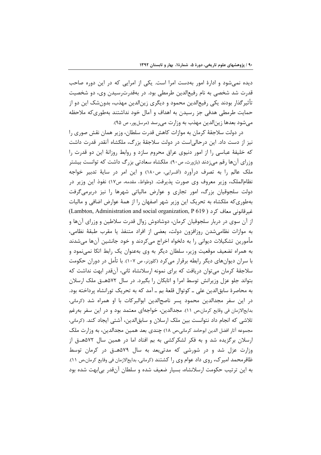دیده نمیشود و ادارهٔ امور بهدست امرا است. یکی از امرایی که در این دوره صاحب قدرت شد شخصی به نام رفیع|لدین طرمطی بود. در بهقدرترسیدن وی، دو شخصیت تأثیرگذار بودند یکی رفیعالدین محمود و دیگری زینالدین مهذب، بدونشک این دو از حمایت طرمطی هدفی جز رسیدن به اهداف و آمال خود نداشتند بهطوریکه ملاحظه مي شود بعدها زينالدين مهذب به وزارت مي رسد (مرسل پور، ص ٩۵).

در دولت سلاجقهٔ کرمان به موازات کاهش قدرت سلطان، وزیر همان نقش صوری را نیز از دست داد. این درحالی|ست در دولت سلاجقهٔ بزرگ، ملکشاه آنقدر قدرت داشت که خلیفهٔ عباسی را از امور دنیوی عراق محروم سازد و روابط روزانهٔ این دو قدرت را وزرای آنها رقم می;دند (بازورث، ص۹۰). ملکشاه سعادتی بزرگ داشت که توانست بیشتر ملک عالم را به تصرف درآورد (أقسرايي، ص١٨٠) و اين امر در سايهٔ تدبير خواجه نظام|لملک، وزیر معروف وی صورت پذیرفت. (وطواط، مقدمه، ص١٧) نفوذ این وزیر در دولت سلجوقیان بزرگ، امور تجاری و عوارض مالیاتی شهرها را نیز دربرمی گرفت بهطوری که ملکشاه به تحریک این وزیر شهر اصفهان را از همهٔ عوارض اضافی و مالیات غيرقانوني معاف كرد ( Lambton, Administration and social organization, P 619) از آن سوی در دربار سلجوقیان کرمان، دوشادوش زوال قدرت سلاطین و وزرای آنها و به موازات نظامیشدن روزافزون دولت، بعضی از افراد متنفذ یا مقرب طبقهٔ نظامی، مأمورين تشكيلات ديواني را به دلخواه اخراج ميكردند و خود جانشين آنها ميشدند به همراه تضعیف موقعیت وزیر، سلطان دیگر به وی بهعنوان یک رابط اتکا نمینمود و با سران دیوانهای دیگر رابطه برقرار می کرد (کلوزنر، ص ۱۰۷). با تأمل در دوران حکومت سلاجقهٔ کرمان می توان دریافت که برای نمونه ارسلانشاه ثانی، آنقدر ابهت نداشت که بتواند جلو عزل وزیرانش توسط امرا و اتابکان را بگیرد. در سال ۵۷۲هـق ملک ارسلان به محاصرهٔ سابق|لدین علی ـ کوتوال قلعهٔ بم ـ آمد که به تحریک تورانشاه پرداخته بود. در این سفر مجدالدین محمود پسر ناصح|لدین ابوالبرکات با او همراه شد (کرمانی، بدایعالازمان فی وقایع کرمان،ص ١١). مجدالدین، خواجهای معتمد بود و در این سفر بهرغم تلاشی که انجام داد نتوانست بین ملک ارسلان و سابق|لدین، آشتی ایجاد کند. (کرمانی، مجموعه آثار افضل الدین ابوحامد کرمانی،ص ۱۸) چندی بعد همین مجدالدین، به وزارت ملک ارسلان برگزیده شد و به فکر لشکرکشی به بم افتاد اما در همین سال ۵۷۲هـق از وزارت عزل شد و در شورشی که مدتی بعد به سال ۵۷۹هـق در کرمان توسط ظافر محمد امیر ک، روی داد عوام وی را کشتند (کرمانی، بدایعالازمان فی وقایع کرمان،ص ۱۱). به این ترتیب حکومت ارسلانشاه، بسیار ضعیف شده و سلطان آنقدر بیابهت شده بود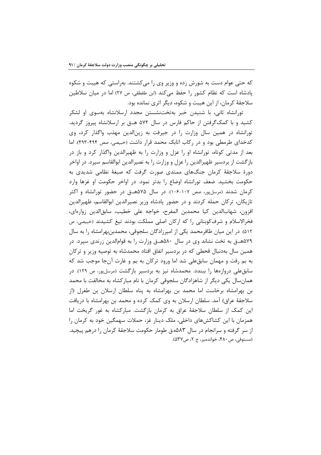که حتی عوام دست به شورش زده و وزیر وی را میکشتند. بهراستی که هیبت و شکوه یادشاه است که نظام کشور را حفظ می کند (ابن طقطقی، ص ٢٧) اما در میان سلاطین سلاجقهٔ کرمان، از این هیبت و شکوه، دیگر اثری نمانده بود.

تورانشاه ثانی، با شنیدن خبر بهتختنشستن مجدد ارسلانشاه بهسوی او لشکر کشید و با کمکگرفتن از حاکم فارس در سال ۵۷۲ هـق بر ارسلانشاه پیروز گردید. تورانشاه در همین سال وزارت را در جیرفت به زین الدین مهذب واگذار کرد، وی كدخدای طرمطی بود و در ركاب اتابك محمد قرار داشت (خبیصی، صص ۴۹۴-۴۹۳). اما بعد از مدتی کوتاه، تورانشاه او را عزل و وزارت را به ظهیرالدین واگذار کرد و باز در بازگشت از بردسیر ظهیرالدین را عزل و وزارت را به نصیرالدین ابوالقاسم سپرد. در اواخر دورهٔ سلاجقهٔ کرمان جنگهای ممتدی صورت گرفت که صبغهٔ نظامی شدیدی به حکومت بخشید. ضعف تورانشاه اوضاع را بدتر نمود. در اواخر حکومت او غزها وارد کرمان شدند (مرسلپور، صص ۱۰۷-۱۰۶). در سال ۵۷۵هــق در حضور تورانشاه و اکثر تازیکان، ترکان حمله کردند و در حضور پادشاه وزیر نصیرالدین ابوالقاسم، ظهیرالدین افزون، شهابالدين كيا محمدبن المفرح، خواجه على خطيب، سابق الدين زوارهاى، فخرالاسلام و شرف کوبنانی را که ارکان اصلی مملکت بودند تیغ کشیدند (خبیصی، ص ۵۱۲). در این میان ظافرمحمد یکی از امیرزادگان سلجوقی، محمدبنبهرامشاه را به سال ۵۷۹هــق به تخت نشاند وی در سال ۵۸۰هــق وزارت را به قوامالدین زرندی سپرد. در همین سال بهدنبال قحطی که در بردسیر اتفاق افتاد محمدشاه به توصیه وزیر و ترکان به بم رفت و مهمان سابقءلی شد اما ورود ترکان به بم و غارت آنجا موجب شد که سابق علی دروازهها را ببندد. محمدشاه نیز به بردسیر بازگشت (مرسلپور، ص ۱۲۹). در همانسال یکی دیگر از شاهزادگان سلجوقی کرمان با نام مبارکشاه به مخالفت با محمد بن بهرامشاه برخاست اما محمد بن بهرامشاه به پناه سلطان ارسلان بن طغرل (از سلاجقهٔ عراق) آمد. سلطان ارسلان به وی کمک کرده و محمد بن بهرامشاه با دریافت این کمک از سلطان سلاجقهٔ عراق به کرمان بازگشت. مبارکشاه به غور گریخت اما همزمان با این کشاکشهای داخلی، ملک دینار غز، حملات سهمگین خود به کرمان را از سر گرفته و سرانجام در سال ۵۸۸۳ق طومار حکومت سلاجقهٔ کرمان را درهم پیچید. (مستوفى، ص ۴۸۰، خواندمير، ج ۲، ص۵۳۷).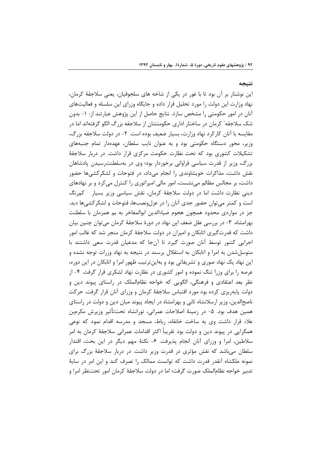نتيجه

این نوشتار بر آن بود تا با غور در یکی از شاخه های سلجوقیان، یعنی سلاجقهٔ کرمان، نهاد وزارت این دولت را مورد تحلیل قرار داده و جایگاه وزرای این سلسله و فعالیتهای آنان در امور حکومتی را مشخص سازد. نتایج حاصل از این پژوهش عبارتند از: ۱- بدون شک سلاجقه ٔ کرمان در ساختار اداری حکومتشان از سلاجقه بزرگ الگو گرفتهاند اما در مقايسه با آنان كاركرد نهاد وزارت، بسيار ضعيف بوده است. ٢- در دولت سلاجقه بزرگ، وزیر، محور دستگاه حکومتی بود و به عنوان نایب سلطان، عهدهدار تمام جنبههای تشکیلات کشوری بود که تحت نظارت حکومت مرکزی قرار داشت. در دربار سلاجقهٔ بزرگ، وزیر از قدرت سیاسی فراوانی برخوردار بود؛ وی در بهسلطنترسیدن پادشاهان نقش داشت، مذاکرات خویشاوندی را انجام میداد، در فتوحات و لشکرکشیها حضور داشت، بر مجالس مظالم می نشست، امور مالی امپراتوری را کنترل می کرد و بر نهادهای دینی نظارت داشت اما در دولت سلاجقهٔ کرمان، نقش سیاسی وزیر بسیار کمرنگ است و کمتر میتوان حضور جدی آنان را در عزلونصبها، فتوحات و لشکرکشیها دید. جز در مواردی محدود همچون هجوم ضیاءالدین ابوالمفاخر به بم همزمان با سلطنت بهرامشاه. ٣- در بررسي علل ضعف اين نهاد در دورهٔ سلاجقهٔ كرمان مي توان چنين بيان داشت که قدرتگیری اتابکان و امیران در دولت سلاجقهٔ کرمان منجر شد که غالب امور اجرایی کشور توسط آنان صورت گیرد تا آنجا که مدعیان قدرت سعی داشتند با متوسل شدن به امرا و اتابکان به استقلال برسند در نتیجه به نهاد وزرات توجه نشده و این نهاد یک نهاد صوری و تشریفاتی بود و بهاینترتیب ظهور امرا و اتابکان در این دوره، عرصه را برای وزرا تنگ نموده و امور کشوری در نظارت نهاد لشکری قرار گرفت. ۴- از نظر بعد اعتقادی و فرهنگی، الگویی که خواجه نظام|لملک در راستای پیوند دین و دولت پایهریزی کرده بود مورد اقتباس سلاجقهٔ کرمان و وزرای آنان قرار گرفت. حرکت ناصحالدین، وزیر ارسلانشاه ثانی و بهرامشاه در ایجاد پیوند میان دین و دولت در راستای همین هدف بود. ۵- در زمینهٔ اصلاحات عمرانی، تورانشاه تحتتأثیر وزیرش مکرمبن علاء قرار داشت وی به ساخت خانقاه، رباط، مسجد و مدرسه اقدام نمود که نوعی همگرایی در پیوند دین و دولت بود تقریباً اکثر اقدامات عمرانی سلاجقهٔ کرمان به امر سلاطین، امرا و وزرای آنان انجام پذیرفت. ۶- نکتهٔ مهم دیگر در این بحث، اقتدار سلطان می باشد که نقش مؤثری در قدرت وزیر داشت. در دربار سلاجقهٔ بزرگ برای نمونه ملكشاه آنقدر قدرت داشت كه توانست ممالك را تصرف كند و اين امر در سايهٔ تدبیر خواجه نظامالملک صورت گرفت؛ اما در دولت سلاجقهٔ کرمان امور تحتنظر امرا و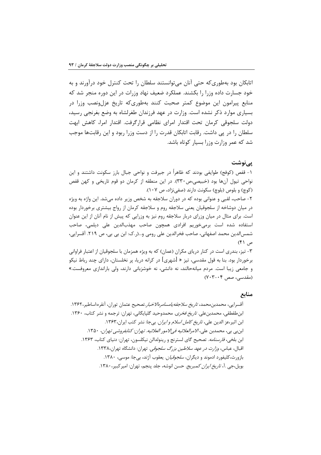اتابکان بود بهطوری که حتی آنان می توانستند سلطان را تحت کنترل خود درآورند و به خود جسارت داده وزرا را بکشند. عملکرد ضعیف نهاد وزرات در این دوره منجر شد که منابع پیرامون این موضوع کمتر صحبت کنند بهطوریکه تاریخ عزلونصب وزرا در بسیاری موارد ذکر نشده است. وزارت در عهد فرزندان طغرلشاه به وضع بغرنجی رسید، دولت سلجوقی کرمان تحت اقتدار امرای نظامی قرارگرفت. اقتدار امرا، کاهش ابهت سلطان را در پی داشت. رقابت اتابکان قدرت را از دست وزرا ربود و این رقابتها موجب شد که عمر وزارت وزرا بسیار کوتاه باشد.

### یے نوشت

۱- قفص (کوفج) طوایفی بودند که ظاهراً در جیرفت و نواحی جبال بارز سکونت داشتند و این نواحی تیول آنها بود (خبیصی،ص ۳۳۰). در این منطقه از کرمان دو قوم تاریخی و کهن قفص (کوچ) و بلوص (بلوچ) سکونت دارند (صفی نژاد، ص ١٠٧).

۲- صاحب، لقبی و عنوانی بوده که در دوران سلاجقه به شخص وزیر داده میشد. این واژه به ویژه در میان دوشاخه از سلجوقیان یعنی سلاجقه روم و سلاجقه کرمان از رواج بیشتری برخوردار بوده است. برای مثال در میان وزرای دربار سلاجقه روم نیز به وزرایی که پیش از نام آنان از این عنوان استفاده شده است برمى خوريم افرادى همچون صاحب مهذبالدين على ديلمى، صاحب شمس|لدین محمد اصفهانی، صاحب فخرالدین علی رومی و…(ر.ک: ابن بی بی، ص ۲۱۹. آقسرایی،  $(f)$   $\varphi$ 

۳- تیز، بندری است در کنار دریای مکران (عمان) که به ویژه همزمان با سلجوقیان از اعتبار فراوانی برخوردار بود. بنا به قول مقدسی، تیز « [شهری] در کرانه دریا، پر نخلستان، دارای چند رباط نیکو و جامعی زیبا است. مردم میانهحالند، نه دانشی، نه خوشزبانی دارند، ولی باراندازی معروفست.» (مقدسی، صص ۰۴-۷۰۳)

### منابع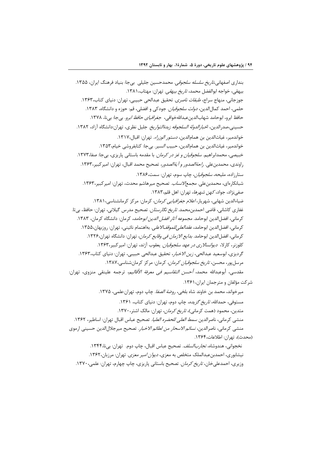وزیری، احمدعلیخان، *تاریخ کرمان*. تصحیح باستانی پاریزی، چاپ چهارم، تهران: علمی، ۱۳۷۰.